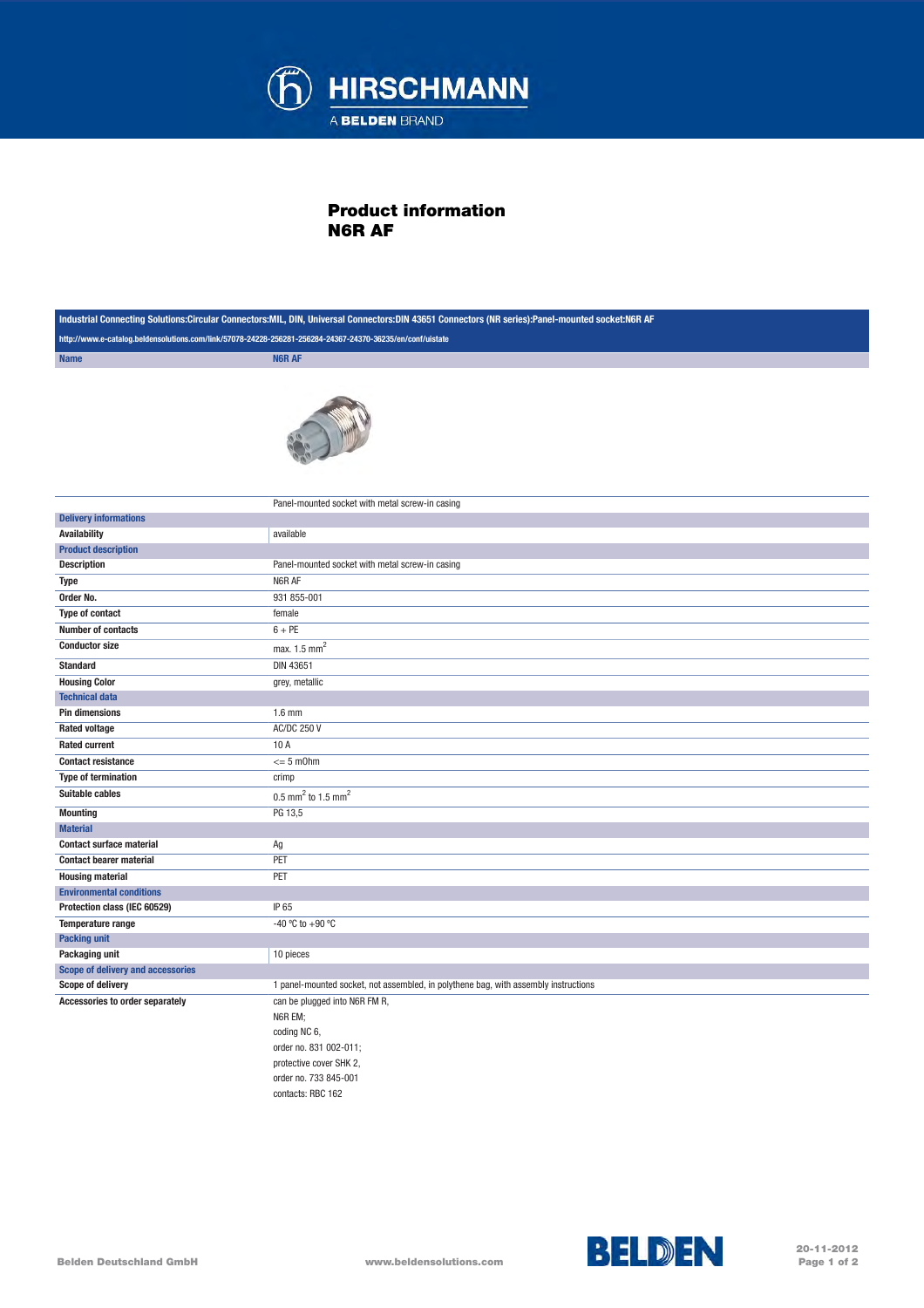

## Product information N6R AF

| Industrial Connecting Solutions:Circular Connectors:MIL, DIN, Universal Connectors:DIN 43651 Connectors (NR series):Panel-mounted socket:N6R AF |                                                                                     |
|-------------------------------------------------------------------------------------------------------------------------------------------------|-------------------------------------------------------------------------------------|
| http://www.e-catalog.beldensolutions.com/link/57078-24228-256281-256284-24367-24370-36235/en/conf/uistate                                       |                                                                                     |
| <b>Name</b>                                                                                                                                     | <b>N6R AF</b>                                                                       |
|                                                                                                                                                 |                                                                                     |
|                                                                                                                                                 | Panel-mounted socket with metal screw-in casing                                     |
| <b>Delivery informations</b>                                                                                                                    |                                                                                     |
| <b>Availability</b>                                                                                                                             | available                                                                           |
| <b>Product description</b>                                                                                                                      |                                                                                     |
| <b>Description</b>                                                                                                                              | Panel-mounted socket with metal screw-in casing                                     |
| <b>Type</b>                                                                                                                                     | N6R AF                                                                              |
| Order No.                                                                                                                                       | 931 855-001                                                                         |
| Type of contact                                                                                                                                 | female                                                                              |
| <b>Number of contacts</b>                                                                                                                       | $6 + PE$                                                                            |
| <b>Conductor size</b>                                                                                                                           | max. 1.5 mm <sup>2</sup>                                                            |
| <b>Standard</b>                                                                                                                                 | <b>DIN 43651</b>                                                                    |
| <b>Housing Color</b>                                                                                                                            | grey, metallic                                                                      |
| <b>Technical data</b>                                                                                                                           |                                                                                     |
| <b>Pin dimensions</b>                                                                                                                           | $1.6$ mm                                                                            |
| <b>Rated voltage</b>                                                                                                                            | <b>AC/DC 250 V</b>                                                                  |
| <b>Rated current</b>                                                                                                                            | 10 A                                                                                |
| <b>Contact resistance</b>                                                                                                                       | $\leq$ 5 m0hm                                                                       |
| <b>Type of termination</b>                                                                                                                      | crimp                                                                               |
| Suitable cables                                                                                                                                 | 0.5 mm <sup>2</sup> to 1.5 mm <sup>2</sup>                                          |
| <b>Mounting</b>                                                                                                                                 | PG 13,5                                                                             |
| <b>Material</b>                                                                                                                                 |                                                                                     |
| <b>Contact surface material</b>                                                                                                                 | Ag                                                                                  |
| <b>Contact bearer material</b>                                                                                                                  | PET                                                                                 |
| <b>Housing material</b>                                                                                                                         | PET                                                                                 |
| <b>Environmental conditions</b>                                                                                                                 |                                                                                     |
| Protection class (IEC 60529)                                                                                                                    | IP 65                                                                               |
| Temperature range                                                                                                                               | -40 °C to +90 °C                                                                    |
| <b>Packing unit</b>                                                                                                                             |                                                                                     |
| Packaging unit                                                                                                                                  | 10 pieces                                                                           |
| Scope of delivery and accessories                                                                                                               |                                                                                     |
| <b>Scope of delivery</b>                                                                                                                        | 1 panel-mounted socket, not assembled, in polythene bag, with assembly instructions |
| Accessories to order separately                                                                                                                 | can be plugged into N6R FM R,                                                       |
|                                                                                                                                                 | N6R EM;                                                                             |
|                                                                                                                                                 | coding NC 6,                                                                        |
|                                                                                                                                                 | order no. 831 002-011;                                                              |
|                                                                                                                                                 | protective cover SHK 2,                                                             |
|                                                                                                                                                 | order no. 733 845-001                                                               |
|                                                                                                                                                 | contacts: RBC 162                                                                   |